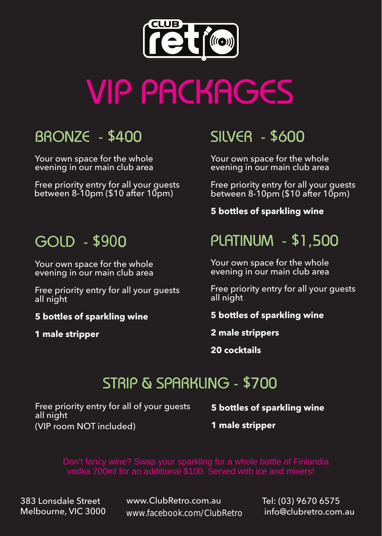

# VIP PACKAGES

## BRONZE - \$400

Your own space for the whole evening in our main club area

Free priority entry for all your guests between 8-10pm (\$10 after 10pm)

#### GOLD - \$900

Your own space for the whole evening in our main club area

Free priority entry for all your guests all night

**5 bottles of sparkling wine**

**1 male stripper**

## SILVER - \$600

Your own space for the whole evening in our main club area

Free priority entry for all your guests between 8-10pm (\$10 after 10pm)

**5 bottles of sparkling wine**

## PLATINUM - \$1,500

Your own space for the whole evening in our main club area

Free priority entry for all your guests all night

**5 bottles of sparkling wine**

**2 male strippers**

**20 cocktails**

#### STRIP & SPARKLING - \$700

Free priority entry for all of your guests all night (VIP room NOT included)

**5 bottles of sparkling wine**

**1 male stripper**

Don't fancy wine? Swap your sparkling for a whole bottle of Finlandia vodka 700ml for an additional \$100. Served with ice and mixers!

383 Lonsdale Street Melbourne, VIC 3000 www.ClubRetro.com.au www.facebook.com/ClubRetro Tel: (03) 9670 6575 info@clubretro.com.au